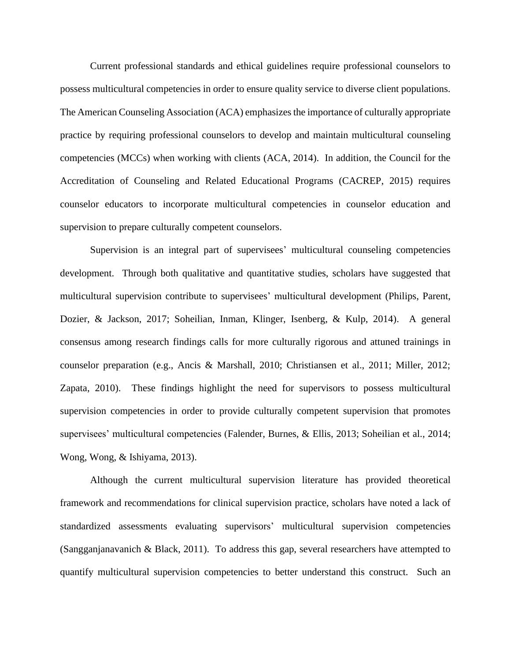Current professional standards and ethical guidelines require professional counselors to possess multicultural competencies in order to ensure quality service to diverse client populations. The American Counseling Association (ACA) emphasizesthe importance of culturally appropriate practice by requiring professional counselors to develop and maintain multicultural counseling competencies (MCCs) when working with clients (ACA, 2014). In addition, the Council for the Accreditation of Counseling and Related Educational Programs (CACREP, 2015) requires counselor educators to incorporate multicultural competencies in counselor education and supervision to prepare culturally competent counselors.

Supervision is an integral part of supervisees' multicultural counseling competencies development. Through both qualitative and quantitative studies, scholars have suggested that multicultural supervision contribute to supervisees' multicultural development (Philips, Parent, Dozier, & Jackson, 2017; Soheilian, Inman, Klinger, Isenberg, & Kulp, 2014). A general consensus among research findings calls for more culturally rigorous and attuned trainings in counselor preparation (e.g., Ancis & Marshall, 2010; Christiansen et al., 2011; Miller, 2012; Zapata, 2010). These findings highlight the need for supervisors to possess multicultural supervision competencies in order to provide culturally competent supervision that promotes supervisees' multicultural competencies (Falender, Burnes, & Ellis, 2013; Soheilian et al., 2014; Wong, Wong, & Ishiyama, 2013).

Although the current multicultural supervision literature has provided theoretical framework and recommendations for clinical supervision practice, scholars have noted a lack of standardized assessments evaluating supervisors' multicultural supervision competencies (Sangganjanavanich & Black, 2011). To address this gap, several researchers have attempted to quantify multicultural supervision competencies to better understand this construct. Such an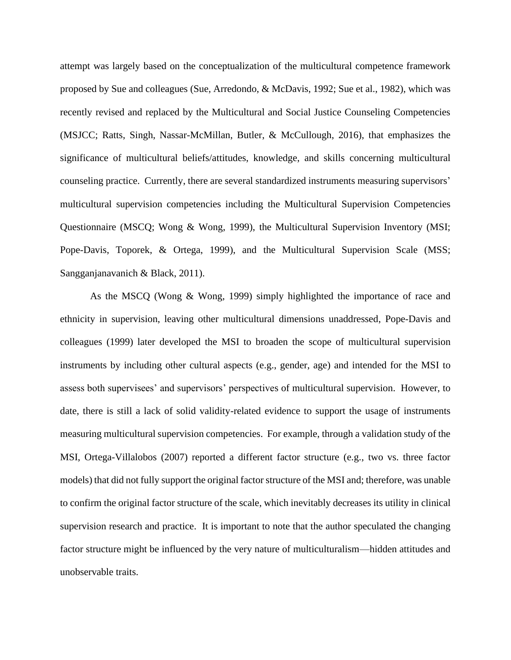attempt was largely based on the conceptualization of the multicultural competence framework proposed by Sue and colleagues (Sue, Arredondo, & McDavis, 1992; Sue et al., 1982), which was recently revised and replaced by the Multicultural and Social Justice Counseling Competencies (MSJCC; Ratts, Singh, Nassar-McMillan, Butler, & McCullough, 2016), that emphasizes the significance of multicultural beliefs/attitudes, knowledge, and skills concerning multicultural counseling practice. Currently, there are several standardized instruments measuring supervisors' multicultural supervision competencies including the Multicultural Supervision Competencies Questionnaire (MSCQ; Wong & Wong, 1999), the Multicultural Supervision Inventory (MSI; Pope-Davis, Toporek, & Ortega, 1999), and the Multicultural Supervision Scale (MSS; Sangganjanavanich & Black, 2011).

As the MSCQ (Wong & Wong, 1999) simply highlighted the importance of race and ethnicity in supervision, leaving other multicultural dimensions unaddressed, Pope-Davis and colleagues (1999) later developed the MSI to broaden the scope of multicultural supervision instruments by including other cultural aspects (e.g., gender, age) and intended for the MSI to assess both supervisees' and supervisors' perspectives of multicultural supervision. However, to date, there is still a lack of solid validity-related evidence to support the usage of instruments measuring multicultural supervision competencies. For example, through a validation study of the MSI, Ortega-Villalobos (2007) reported a different factor structure (e.g., two vs. three factor models) that did not fully support the original factor structure of the MSI and; therefore, was unable to confirm the original factor structure of the scale, which inevitably decreases its utility in clinical supervision research and practice. It is important to note that the author speculated the changing factor structure might be influenced by the very nature of multiculturalism—hidden attitudes and unobservable traits.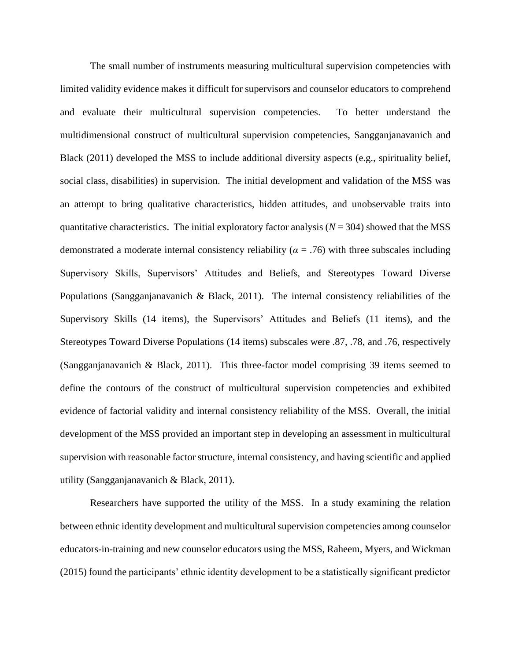The small number of instruments measuring multicultural supervision competencies with limited validity evidence makes it difficult for supervisors and counselor educators to comprehend and evaluate their multicultural supervision competencies. To better understand the multidimensional construct of multicultural supervision competencies, Sangganjanavanich and Black (2011) developed the MSS to include additional diversity aspects (e.g., spirituality belief, social class, disabilities) in supervision. The initial development and validation of the MSS was an attempt to bring qualitative characteristics, hidden attitudes, and unobservable traits into quantitative characteristics. The initial exploratory factor analysis  $(N = 304)$  showed that the MSS demonstrated a moderate internal consistency reliability (*α* = .76) with three subscales including Supervisory Skills, Supervisors' Attitudes and Beliefs, and Stereotypes Toward Diverse Populations (Sangganjanavanich & Black, 2011). The internal consistency reliabilities of the Supervisory Skills (14 items), the Supervisors' Attitudes and Beliefs (11 items), and the Stereotypes Toward Diverse Populations (14 items) subscales were .87, .78, and .76, respectively (Sangganjanavanich & Black, 2011). This three-factor model comprising 39 items seemed to define the contours of the construct of multicultural supervision competencies and exhibited evidence of factorial validity and internal consistency reliability of the MSS. Overall, the initial development of the MSS provided an important step in developing an assessment in multicultural supervision with reasonable factor structure, internal consistency, and having scientific and applied utility (Sangganjanavanich & Black, 2011).

Researchers have supported the utility of the MSS. In a study examining the relation between ethnic identity development and multicultural supervision competencies among counselor educators-in-training and new counselor educators using the MSS, Raheem, Myers, and Wickman (2015) found the participants' ethnic identity development to be a statistically significant predictor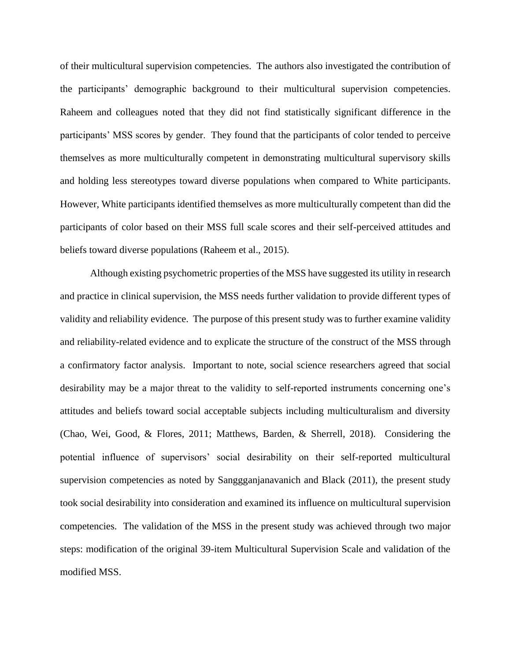of their multicultural supervision competencies. The authors also investigated the contribution of the participants' demographic background to their multicultural supervision competencies. Raheem and colleagues noted that they did not find statistically significant difference in the participants' MSS scores by gender. They found that the participants of color tended to perceive themselves as more multiculturally competent in demonstrating multicultural supervisory skills and holding less stereotypes toward diverse populations when compared to White participants. However, White participants identified themselves as more multiculturally competent than did the participants of color based on their MSS full scale scores and their self-perceived attitudes and beliefs toward diverse populations (Raheem et al., 2015).

Although existing psychometric properties of the MSS have suggested its utility in research and practice in clinical supervision, the MSS needs further validation to provide different types of validity and reliability evidence. The purpose of this present study was to further examine validity and reliability-related evidence and to explicate the structure of the construct of the MSS through a confirmatory factor analysis. Important to note, social science researchers agreed that social desirability may be a major threat to the validity to self-reported instruments concerning one's attitudes and beliefs toward social acceptable subjects including multiculturalism and diversity (Chao, Wei, Good, & Flores, 2011; Matthews, Barden, & Sherrell, 2018). Considering the potential influence of supervisors' social desirability on their self-reported multicultural supervision competencies as noted by Sanggganjanavanich and Black (2011), the present study took social desirability into consideration and examined its influence on multicultural supervision competencies. The validation of the MSS in the present study was achieved through two major steps: modification of the original 39-item Multicultural Supervision Scale and validation of the modified MSS.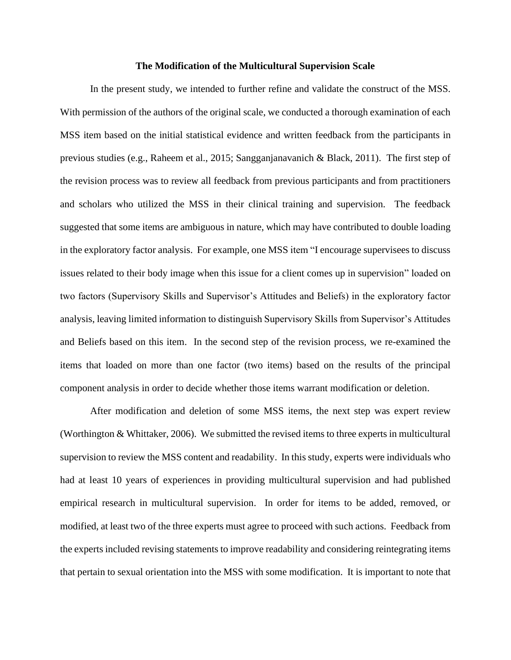#### **The Modification of the Multicultural Supervision Scale**

In the present study, we intended to further refine and validate the construct of the MSS. With permission of the authors of the original scale, we conducted a thorough examination of each MSS item based on the initial statistical evidence and written feedback from the participants in previous studies (e.g., Raheem et al., 2015; Sangganjanavanich & Black, 2011). The first step of the revision process was to review all feedback from previous participants and from practitioners and scholars who utilized the MSS in their clinical training and supervision. The feedback suggested that some items are ambiguous in nature, which may have contributed to double loading in the exploratory factor analysis. For example, one MSS item "I encourage supervisees to discuss issues related to their body image when this issue for a client comes up in supervision" loaded on two factors (Supervisory Skills and Supervisor's Attitudes and Beliefs) in the exploratory factor analysis, leaving limited information to distinguish Supervisory Skills from Supervisor's Attitudes and Beliefs based on this item. In the second step of the revision process, we re-examined the items that loaded on more than one factor (two items) based on the results of the principal component analysis in order to decide whether those items warrant modification or deletion.

After modification and deletion of some MSS items, the next step was expert review (Worthington & Whittaker, 2006). We submitted the revised items to three experts in multicultural supervision to review the MSS content and readability. In this study, experts were individuals who had at least 10 years of experiences in providing multicultural supervision and had published empirical research in multicultural supervision. In order for items to be added, removed, or modified, at least two of the three experts must agree to proceed with such actions. Feedback from the experts included revising statements to improve readability and considering reintegrating items that pertain to sexual orientation into the MSS with some modification. It is important to note that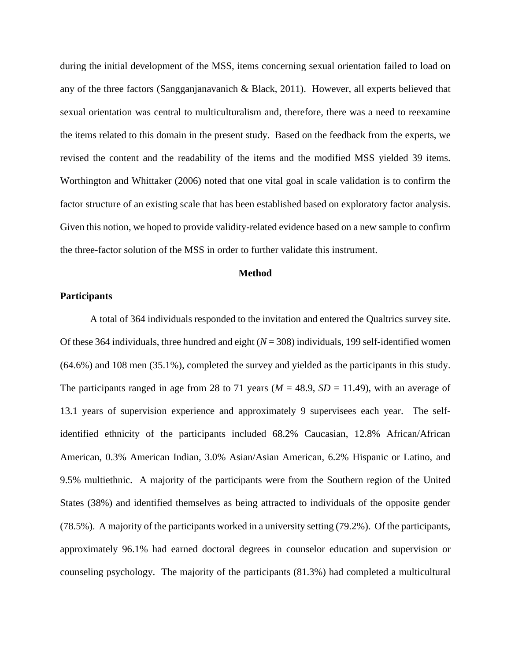during the initial development of the MSS, items concerning sexual orientation failed to load on any of the three factors (Sangganjanavanich & Black, 2011). However, all experts believed that sexual orientation was central to multiculturalism and, therefore, there was a need to reexamine the items related to this domain in the present study. Based on the feedback from the experts, we revised the content and the readability of the items and the modified MSS yielded 39 items. Worthington and Whittaker (2006) noted that one vital goal in scale validation is to confirm the factor structure of an existing scale that has been established based on exploratory factor analysis. Given this notion, we hoped to provide validity-related evidence based on a new sample to confirm the three-factor solution of the MSS in order to further validate this instrument.

#### **Method**

## **Participants**

A total of 364 individuals responded to the invitation and entered the Qualtrics survey site. Of these 364 individuals, three hundred and eight  $(N = 308)$  individuals, 199 self-identified women (64.6%) and 108 men (35.1%), completed the survey and yielded as the participants in this study. The participants ranged in age from 28 to 71 years ( $M = 48.9$ ,  $SD = 11.49$ ), with an average of 13.1 years of supervision experience and approximately 9 supervisees each year. The selfidentified ethnicity of the participants included 68.2% Caucasian, 12.8% African/African American, 0.3% American Indian, 3.0% Asian/Asian American, 6.2% Hispanic or Latino, and 9.5% multiethnic. A majority of the participants were from the Southern region of the United States (38%) and identified themselves as being attracted to individuals of the opposite gender (78.5%). A majority of the participants worked in a university setting (79.2%). Of the participants, approximately 96.1% had earned doctoral degrees in counselor education and supervision or counseling psychology. The majority of the participants (81.3%) had completed a multicultural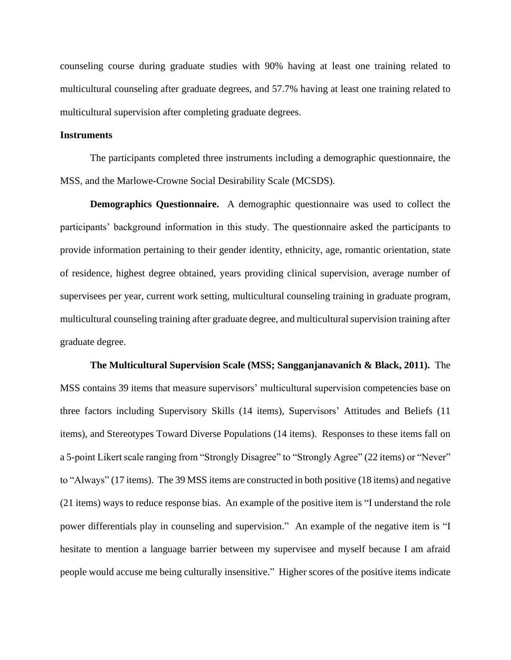counseling course during graduate studies with 90% having at least one training related to multicultural counseling after graduate degrees, and 57.7% having at least one training related to multicultural supervision after completing graduate degrees.

## **Instruments**

The participants completed three instruments including a demographic questionnaire, the MSS, and the Marlowe-Crowne Social Desirability Scale (MCSDS).

**Demographics Questionnaire.** A demographic questionnaire was used to collect the participants' background information in this study. The questionnaire asked the participants to provide information pertaining to their gender identity, ethnicity, age, romantic orientation, state of residence, highest degree obtained, years providing clinical supervision, average number of supervisees per year, current work setting, multicultural counseling training in graduate program, multicultural counseling training after graduate degree, and multicultural supervision training after graduate degree.

**The Multicultural Supervision Scale (MSS; Sangganjanavanich & Black, 2011).** The MSS contains 39 items that measure supervisors' multicultural supervision competencies base on three factors including Supervisory Skills (14 items), Supervisors' Attitudes and Beliefs (11 items), and Stereotypes Toward Diverse Populations (14 items). Responses to these items fall on a 5-point Likert scale ranging from "Strongly Disagree" to "Strongly Agree" (22 items) or "Never" to "Always" (17 items). The 39 MSS items are constructed in both positive (18 items) and negative (21 items) ways to reduce response bias. An example of the positive item is "I understand the role power differentials play in counseling and supervision." An example of the negative item is "I hesitate to mention a language barrier between my supervisee and myself because I am afraid people would accuse me being culturally insensitive." Higher scores of the positive items indicate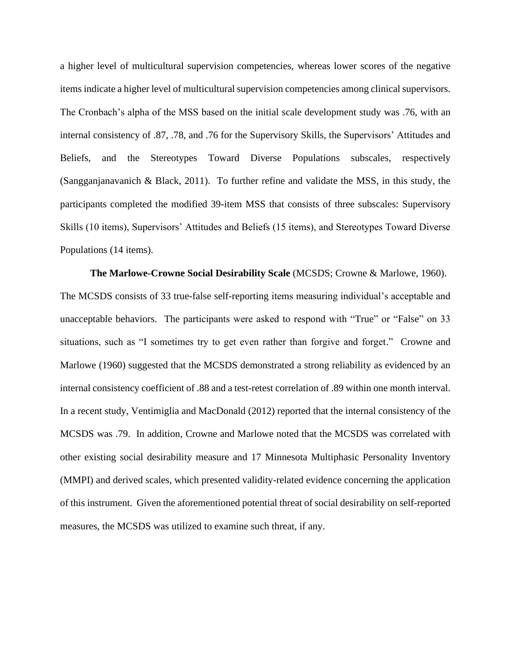a higher level of multicultural supervision competencies, whereas lower scores of the negative items indicate a higher level of multicultural supervision competencies among clinical supervisors. The Cronbach's alpha of the MSS based on the initial scale development study was .76, with an internal consistency of .87, .78, and .76 for the Supervisory Skills, the Supervisors' Attitudes and Beliefs, and the Stereotypes Toward Diverse Populations subscales, respectively (Sangganjanavanich & Black, 2011). To further refine and validate the MSS, in this study, the participants completed the modified 39-item MSS that consists of three subscales: Supervisory Skills (10 items), Supervisors' Attitudes and Beliefs (15 items), and Stereotypes Toward Diverse Populations (14 items).

**The Marlowe-Crowne Social Desirability Scale** (MCSDS; Crowne & Marlowe, 1960). The MCSDS consists of 33 true-false self-reporting items measuring individual's acceptable and unacceptable behaviors. The participants were asked to respond with "True" or "False" on 33 situations, such as "I sometimes try to get even rather than forgive and forget." Crowne and Marlowe (1960) suggested that the MCSDS demonstrated a strong reliability as evidenced by an internal consistency coefficient of .88 and a test-retest correlation of .89 within one month interval. In a recent study, Ventimiglia and MacDonald (2012) reported that the internal consistency of the MCSDS was .79. In addition, Crowne and Marlowe noted that the MCSDS was correlated with other existing social desirability measure and 17 Minnesota Multiphasic Personality Inventory (MMPI) and derived scales, which presented validity-related evidence concerning the application of this instrument. Given the aforementioned potential threat of social desirability on self-reported measures, the MCSDS was utilized to examine such threat, if any.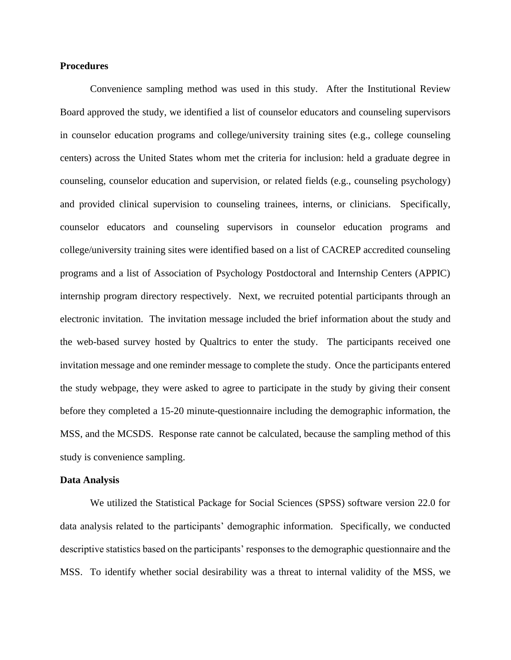## **Procedures**

Convenience sampling method was used in this study. After the Institutional Review Board approved the study, we identified a list of counselor educators and counseling supervisors in counselor education programs and college/university training sites (e.g., college counseling centers) across the United States whom met the criteria for inclusion: held a graduate degree in counseling, counselor education and supervision, or related fields (e.g., counseling psychology) and provided clinical supervision to counseling trainees, interns, or clinicians. Specifically, counselor educators and counseling supervisors in counselor education programs and college/university training sites were identified based on a list of CACREP accredited counseling programs and a list of Association of Psychology Postdoctoral and Internship Centers (APPIC) internship program directory respectively. Next, we recruited potential participants through an electronic invitation. The invitation message included the brief information about the study and the web-based survey hosted by Qualtrics to enter the study. The participants received one invitation message and one reminder message to complete the study. Once the participants entered the study webpage, they were asked to agree to participate in the study by giving their consent before they completed a 15-20 minute-questionnaire including the demographic information, the MSS, and the MCSDS. Response rate cannot be calculated, because the sampling method of this study is convenience sampling.

#### **Data Analysis**

We utilized the Statistical Package for Social Sciences (SPSS) software version 22.0 for data analysis related to the participants' demographic information. Specifically, we conducted descriptive statistics based on the participants' responses to the demographic questionnaire and the MSS. To identify whether social desirability was a threat to internal validity of the MSS, we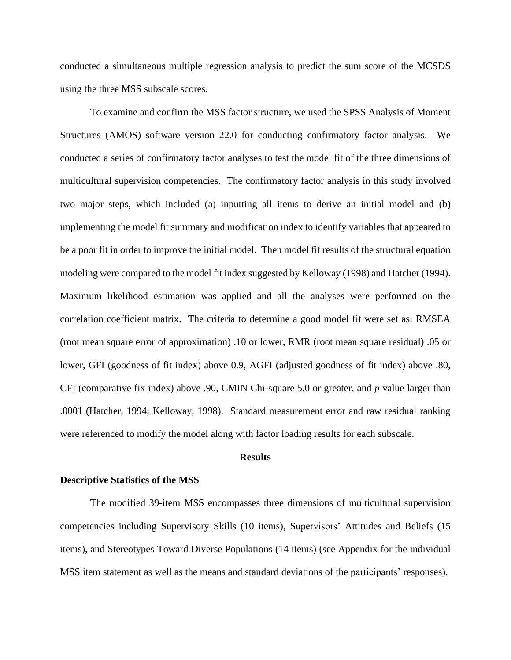conducted a simultaneous multiple regression analysis to predict the sum score of the MCSDS using the three MSS subscale scores.

To examine and confirm the MSS factor structure, we used the SPSS Analysis of Moment Structures (AMOS) software version 22.0 for conducting confirmatory factor analysis. We conducted a series of confirmatory factor analyses to test the model fit of the three dimensions of multicultural supervision competencies. The confirmatory factor analysis in this study involved two major steps, which included (a) inputting all items to derive an initial model and (b) implementing the model fit summary and modification index to identify variables that appeared to be a poor fit in order to improve the initial model. Then model fit results of the structural equation modeling were compared to the model fit index suggested by Kelloway (1998) and Hatcher (1994). Maximum likelihood estimation was applied and all the analyses were performed on the correlation coefficient matrix. The criteria to determine a good model fit were set as: RMSEA (root mean square error of approximation) .10 or lower, RMR (root mean square residual) .05 or lower, GFI (goodness of fit index) above 0.9, AGFI (adjusted goodness of fit index) above .80, CFI (comparative fix index) above .90, CMIN Chi-square 5.0 or greater, and *p* value larger than .0001 (Hatcher, 1994; Kelloway, 1998). Standard measurement error and raw residual ranking were referenced to modify the model along with factor loading results for each subscale.

#### **Results**

#### **Descriptive Statistics of the MSS**

The modified 39-item MSS encompasses three dimensions of multicultural supervision competencies including Supervisory Skills (10 items), Supervisors' Attitudes and Beliefs (15 items), and Stereotypes Toward Diverse Populations (14 items) (see Appendix for the individual MSS item statement as well as the means and standard deviations of the participants' responses).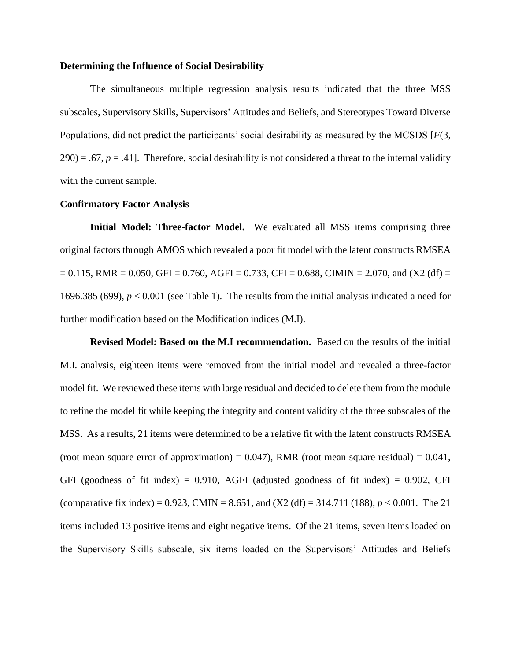## **Determining the Influence of Social Desirability**

The simultaneous multiple regression analysis results indicated that the three MSS subscales, Supervisory Skills, Supervisors' Attitudes and Beliefs, and Stereotypes Toward Diverse Populations, did not predict the participants' social desirability as measured by the MCSDS [*F*(3,  $290$ ) = .67,  $p = .41$ ]. Therefore, social desirability is not considered a threat to the internal validity with the current sample.

### **Confirmatory Factor Analysis**

**Initial Model: Three-factor Model.** We evaluated all MSS items comprising three original factors through AMOS which revealed a poor fit model with the latent constructs RMSEA  $= 0.115$ , RMR = 0.050, GFI = 0.760, AGFI = 0.733, CFI = 0.688, CIMIN = 2.070, and (X2 (df) = 1696.385 (699), *p* < 0.001 (see Table 1). The results from the initial analysis indicated a need for further modification based on the Modification indices (M.I).

**Revised Model: Based on the M.I recommendation.** Based on the results of the initial M.I. analysis, eighteen items were removed from the initial model and revealed a three-factor model fit. We reviewed these items with large residual and decided to delete them from the module to refine the model fit while keeping the integrity and content validity of the three subscales of the MSS. As a results, 21 items were determined to be a relative fit with the latent constructs RMSEA (root mean square error of approximation) =  $0.047$ ), RMR (root mean square residual) =  $0.041$ , GFI (goodness of fit index) =  $0.910$ , AGFI (adjusted goodness of fit index) =  $0.902$ , CFI (comparative fix index) = 0.923, CMIN = 8.651, and  $(X2 \text{ (df)} = 314.711 \text{ (188)}, p < 0.001$ . The 21 items included 13 positive items and eight negative items. Of the 21 items, seven items loaded on the Supervisory Skills subscale, six items loaded on the Supervisors' Attitudes and Beliefs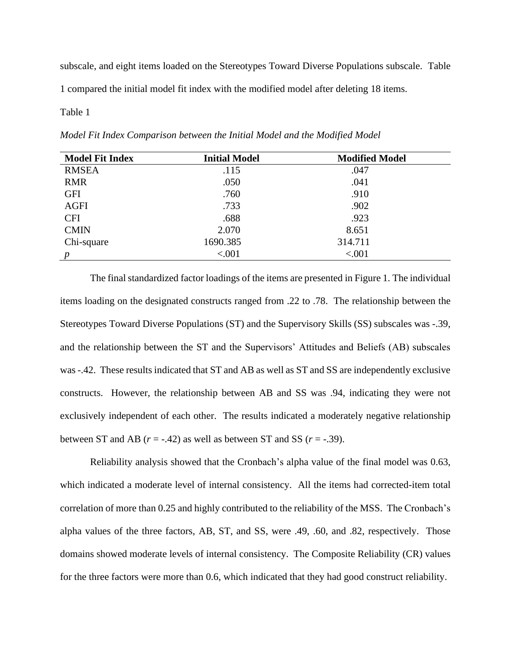subscale, and eight items loaded on the Stereotypes Toward Diverse Populations subscale. Table 1 compared the initial model fit index with the modified model after deleting 18 items.

## Table 1

*Model Fit Index Comparison between the Initial Model and the Modified Model*

| <b>Model Fit Index</b> | <b>Initial Model</b> | <b>Modified Model</b> |
|------------------------|----------------------|-----------------------|
| <b>RMSEA</b>           | .115                 | .047                  |
| <b>RMR</b>             | .050                 | .041                  |
| <b>GFI</b>             | .760                 | .910                  |
| <b>AGFI</b>            | .733                 | .902                  |
| <b>CFI</b>             | .688                 | .923                  |
| <b>CMIN</b>            | 2.070                | 8.651                 |
| Chi-square             | 1690.385             | 314.711               |
| $\boldsymbol{p}$       | < .001               | < .001                |

The final standardized factor loadings of the items are presented in Figure 1. The individual items loading on the designated constructs ranged from .22 to .78. The relationship between the Stereotypes Toward Diverse Populations (ST) and the Supervisory Skills (SS) subscales was -.39, and the relationship between the ST and the Supervisors' Attitudes and Beliefs (AB) subscales was -.42. These results indicated that ST and AB as well as ST and SS are independently exclusive constructs. However, the relationship between AB and SS was .94, indicating they were not exclusively independent of each other. The results indicated a moderately negative relationship between ST and AB  $(r = -.42)$  as well as between ST and SS  $(r = -.39)$ .

Reliability analysis showed that the Cronbach's alpha value of the final model was 0.63, which indicated a moderate level of internal consistency. All the items had corrected-item total correlation of more than 0.25 and highly contributed to the reliability of the MSS. The Cronbach's alpha values of the three factors, AB, ST, and SS, were .49, .60, and .82, respectively. Those domains showed moderate levels of internal consistency. The Composite Reliability (CR) values for the three factors were more than 0.6, which indicated that they had good construct reliability.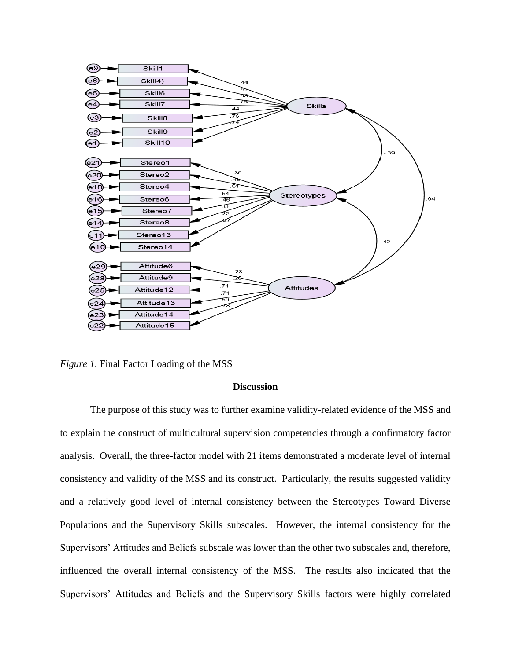

*Figure 1.* Final Factor Loading of the MSS

# **Discussion**

The purpose of this study was to further examine validity-related evidence of the MSS and to explain the construct of multicultural supervision competencies through a confirmatory factor analysis. Overall, the three-factor model with 21 items demonstrated a moderate level of internal consistency and validity of the MSS and its construct. Particularly, the results suggested validity and a relatively good level of internal consistency between the Stereotypes Toward Diverse Populations and the Supervisory Skills subscales. However, the internal consistency for the Supervisors' Attitudes and Beliefs subscale was lower than the other two subscales and, therefore, influenced the overall internal consistency of the MSS. The results also indicated that the Supervisors' Attitudes and Beliefs and the Supervisory Skills factors were highly correlated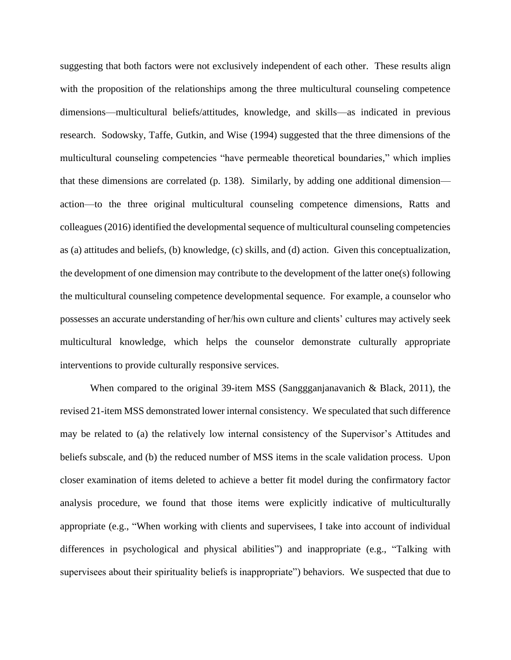suggesting that both factors were not exclusively independent of each other. These results align with the proposition of the relationships among the three multicultural counseling competence dimensions—multicultural beliefs/attitudes, knowledge, and skills—as indicated in previous research. Sodowsky, Taffe, Gutkin, and Wise (1994) suggested that the three dimensions of the multicultural counseling competencies "have permeable theoretical boundaries," which implies that these dimensions are correlated (p. 138). Similarly, by adding one additional dimension action—to the three original multicultural counseling competence dimensions, Ratts and colleagues (2016) identified the developmental sequence of multicultural counseling competencies as (a) attitudes and beliefs, (b) knowledge, (c) skills, and (d) action. Given this conceptualization, the development of one dimension may contribute to the development of the latter one(s) following the multicultural counseling competence developmental sequence. For example, a counselor who possesses an accurate understanding of her/his own culture and clients' cultures may actively seek multicultural knowledge, which helps the counselor demonstrate culturally appropriate interventions to provide culturally responsive services.

When compared to the original 39-item MSS (Sanggganjanavanich & Black, 2011), the revised 21-item MSS demonstrated lower internal consistency. We speculated that such difference may be related to (a) the relatively low internal consistency of the Supervisor's Attitudes and beliefs subscale, and (b) the reduced number of MSS items in the scale validation process. Upon closer examination of items deleted to achieve a better fit model during the confirmatory factor analysis procedure, we found that those items were explicitly indicative of multiculturally appropriate (e.g., "When working with clients and supervisees, I take into account of individual differences in psychological and physical abilities") and inappropriate (e.g., "Talking with supervisees about their spirituality beliefs is inappropriate") behaviors. We suspected that due to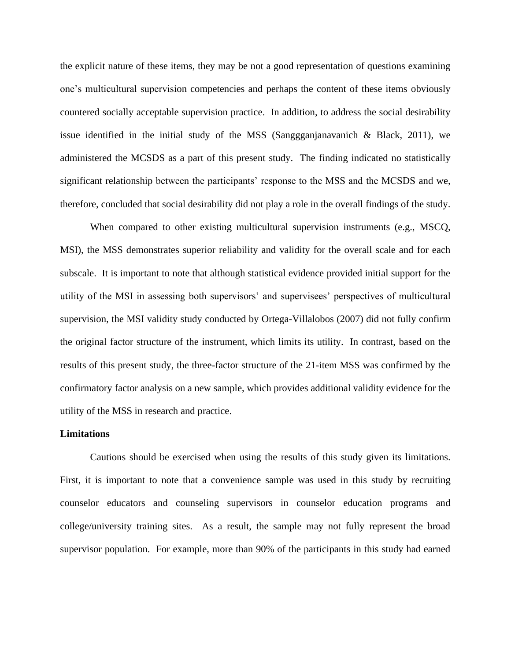the explicit nature of these items, they may be not a good representation of questions examining one's multicultural supervision competencies and perhaps the content of these items obviously countered socially acceptable supervision practice. In addition, to address the social desirability issue identified in the initial study of the MSS (Sanggganjanavanich & Black, 2011), we administered the MCSDS as a part of this present study. The finding indicated no statistically significant relationship between the participants' response to the MSS and the MCSDS and we, therefore, concluded that social desirability did not play a role in the overall findings of the study.

When compared to other existing multicultural supervision instruments (e.g., MSCQ, MSI), the MSS demonstrates superior reliability and validity for the overall scale and for each subscale. It is important to note that although statistical evidence provided initial support for the utility of the MSI in assessing both supervisors' and supervisees' perspectives of multicultural supervision, the MSI validity study conducted by Ortega-Villalobos (2007) did not fully confirm the original factor structure of the instrument, which limits its utility. In contrast, based on the results of this present study, the three-factor structure of the 21-item MSS was confirmed by the confirmatory factor analysis on a new sample, which provides additional validity evidence for the utility of the MSS in research and practice.

#### **Limitations**

Cautions should be exercised when using the results of this study given its limitations. First, it is important to note that a convenience sample was used in this study by recruiting counselor educators and counseling supervisors in counselor education programs and college/university training sites. As a result, the sample may not fully represent the broad supervisor population. For example, more than 90% of the participants in this study had earned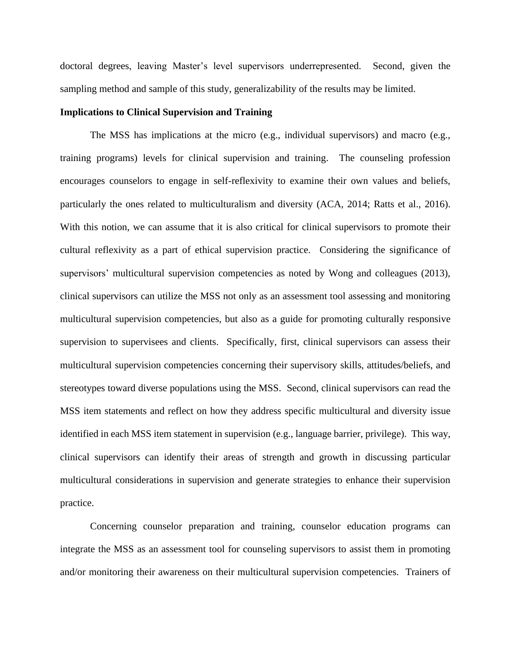doctoral degrees, leaving Master's level supervisors underrepresented. Second, given the sampling method and sample of this study, generalizability of the results may be limited.

## **Implications to Clinical Supervision and Training**

The MSS has implications at the micro (e.g., individual supervisors) and macro (e.g., training programs) levels for clinical supervision and training. The counseling profession encourages counselors to engage in self-reflexivity to examine their own values and beliefs, particularly the ones related to multiculturalism and diversity (ACA, 2014; Ratts et al., 2016). With this notion, we can assume that it is also critical for clinical supervisors to promote their cultural reflexivity as a part of ethical supervision practice. Considering the significance of supervisors' multicultural supervision competencies as noted by Wong and colleagues (2013), clinical supervisors can utilize the MSS not only as an assessment tool assessing and monitoring multicultural supervision competencies, but also as a guide for promoting culturally responsive supervision to supervisees and clients. Specifically, first, clinical supervisors can assess their multicultural supervision competencies concerning their supervisory skills, attitudes/beliefs, and stereotypes toward diverse populations using the MSS. Second, clinical supervisors can read the MSS item statements and reflect on how they address specific multicultural and diversity issue identified in each MSS item statement in supervision (e.g., language barrier, privilege). This way, clinical supervisors can identify their areas of strength and growth in discussing particular multicultural considerations in supervision and generate strategies to enhance their supervision practice.

Concerning counselor preparation and training, counselor education programs can integrate the MSS as an assessment tool for counseling supervisors to assist them in promoting and/or monitoring their awareness on their multicultural supervision competencies. Trainers of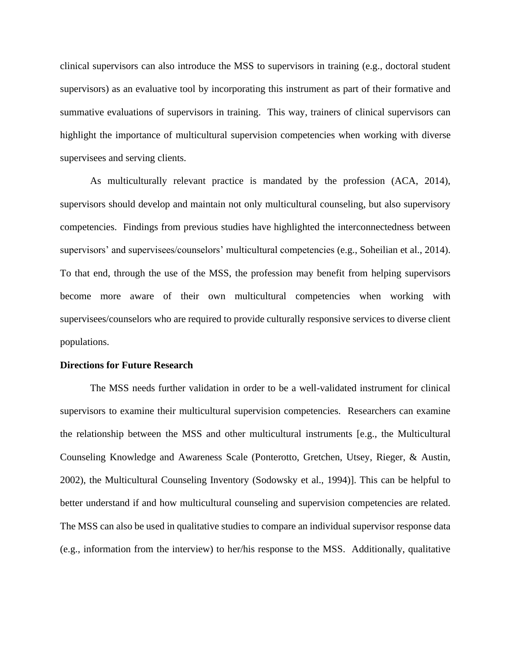clinical supervisors can also introduce the MSS to supervisors in training (e.g., doctoral student supervisors) as an evaluative tool by incorporating this instrument as part of their formative and summative evaluations of supervisors in training. This way, trainers of clinical supervisors can highlight the importance of multicultural supervision competencies when working with diverse supervisees and serving clients.

As multiculturally relevant practice is mandated by the profession (ACA, 2014), supervisors should develop and maintain not only multicultural counseling, but also supervisory competencies. Findings from previous studies have highlighted the interconnectedness between supervisors' and supervisees/counselors' multicultural competencies (e.g., Soheilian et al., 2014). To that end, through the use of the MSS, the profession may benefit from helping supervisors become more aware of their own multicultural competencies when working with supervisees/counselors who are required to provide culturally responsive services to diverse client populations.

#### **Directions for Future Research**

The MSS needs further validation in order to be a well-validated instrument for clinical supervisors to examine their multicultural supervision competencies. Researchers can examine the relationship between the MSS and other multicultural instruments [e.g., the Multicultural Counseling Knowledge and Awareness Scale (Ponterotto, Gretchen, Utsey, Rieger, & Austin, 2002), the Multicultural Counseling Inventory (Sodowsky et al., 1994)]. This can be helpful to better understand if and how multicultural counseling and supervision competencies are related. The MSS can also be used in qualitative studies to compare an individual supervisor response data (e.g., information from the interview) to her/his response to the MSS. Additionally, qualitative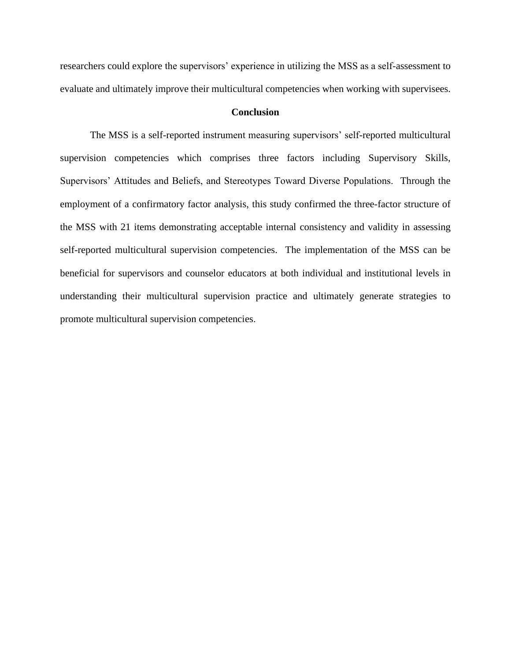researchers could explore the supervisors' experience in utilizing the MSS as a self-assessment to evaluate and ultimately improve their multicultural competencies when working with supervisees.

# **Conclusion**

The MSS is a self-reported instrument measuring supervisors' self-reported multicultural supervision competencies which comprises three factors including Supervisory Skills, Supervisors' Attitudes and Beliefs, and Stereotypes Toward Diverse Populations. Through the employment of a confirmatory factor analysis, this study confirmed the three-factor structure of the MSS with 21 items demonstrating acceptable internal consistency and validity in assessing self-reported multicultural supervision competencies. The implementation of the MSS can be beneficial for supervisors and counselor educators at both individual and institutional levels in understanding their multicultural supervision practice and ultimately generate strategies to promote multicultural supervision competencies.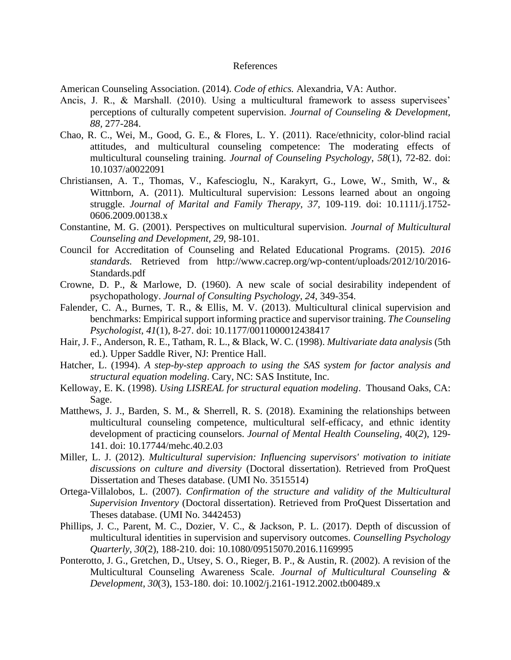#### References

American Counseling Association. (2014). *Code of ethics.* Alexandria, VA: Author.

- Ancis, J. R., & Marshall. (2010). Using a multicultural framework to assess supervisees' perceptions of culturally competent supervision. *Journal of Counseling & Development, 88,* 277-284.
- Chao, R. C., Wei, M., Good, G. E., & Flores, L. Y. (2011). Race/ethnicity, color-blind racial attitudes, and multicultural counseling competence: The moderating effects of multicultural counseling training. *Journal of Counseling Psychology*, *58*(1), 72-82. doi: 10.1037/a0022091
- Christiansen, A. T., Thomas, V., Kafescioglu, N., Karakyrt, G., Lowe, W., Smith, W., & Wittnborn, A. (2011). Multicultural supervision: Lessons learned about an ongoing struggle. *Journal of Marital and Family Therapy, 37,* 109-119. doi: 10.1111/j.1752- 0606.2009.00138.x
- Constantine, M. G. (2001). Perspectives on multicultural supervision*. Journal of Multicultural Counseling and Development, 29,* 98-101.
- Council for Accreditation of Counseling and Related Educational Programs. (2015). *2016 standards.* Retrieved from http://www.cacrep.org/wp-content/uploads/2012/10/2016- Standards.pdf
- Crowne, D. P., & Marlowe, D. (1960). A new scale of social desirability independent of psychopathology. *Journal of Consulting Psychology, 24,* 349-354.
- Falender, C. A., Burnes, T. R., & Ellis, M. V. (2013). Multicultural clinical supervision and benchmarks: Empirical support informing practice and supervisor training. *The Counseling Psychologist*, *41*(1), 8-27. doi: 10.1177/0011000012438417
- Hair, J. F., Anderson, R. E., Tatham, R. L., & Black, W. C. (1998). *Multivariate data analysis* (5th ed.). Upper Saddle River, NJ: Prentice Hall.
- Hatcher, L. (1994). *A step-by-step approach to using the SAS system for factor analysis and structural equation modeling*. Cary, NC: SAS Institute, Inc.
- Kelloway, E. K. (1998). *Using LISREAL for structural equation modeling*. Thousand Oaks, CA: Sage.
- Matthews, J. J., Barden, S. M., & Sherrell, R. S. (2018). Examining the relationships between multicultural counseling competence, multicultural self-efficacy, and ethnic identity development of practicing counselors. *Journal of Mental Health Counseling*, 40(*2*), 129- 141. doi: 10.17744/mehc.40.2.03
- Miller, L. J. (2012). *Multicultural supervision: Influencing supervisors' motivation to initiate discussions on culture and diversity* (Doctoral dissertation). Retrieved from ProQuest Dissertation and Theses database. (UMI No. 3515514)
- Ortega-Villalobos, L. (2007). *Confirmation of the structure and validity of the Multicultural Supervision Inventory* (Doctoral dissertation). Retrieved from ProQuest Dissertation and Theses database. (UMI No. 3442453)
- Phillips, J. C., Parent, M. C., Dozier, V. C., & Jackson, P. L. (2017). Depth of discussion of multicultural identities in supervision and supervisory outcomes. *Counselling Psychology Quarterly*, *30*(2), 188-210. doi: 10.1080/09515070.2016.1169995
- Ponterotto, J. G., Gretchen, D., Utsey, S. O., Rieger, B. P., & Austin, R. (2002). A revision of the Multicultural Counseling Awareness Scale. *Journal of Multicultural Counseling & Development*, *30*(3), 153-180. doi: 10.1002/j.2161-1912.2002.tb00489.x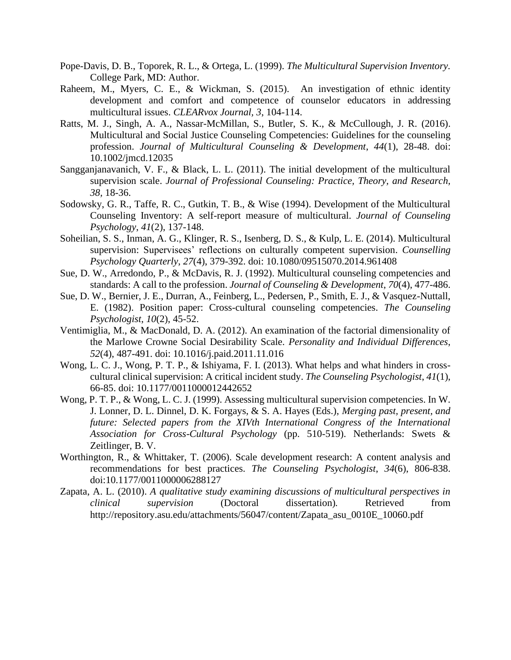- Pope-Davis, D. B., Toporek, R. L., & Ortega, L. (1999). *The Multicultural Supervision Inventory.*  College Park, MD: Author.
- Raheem, M., Myers, C. E., & Wickman, S. (2015). An investigation of ethnic identity development and comfort and competence of counselor educators in addressing multicultural issues. *CLEARvox Journal, 3*, 104-114.
- Ratts, M. J., Singh, A. A., Nassar-McMillan, S., Butler, S. K., & McCullough, J. R. (2016). Multicultural and Social Justice Counseling Competencies: Guidelines for the counseling profession. *Journal of Multicultural Counseling & Development*, *44*(1), 28-48. doi: 10.1002/jmcd.12035
- Sangganjanavanich, V. F., & Black, L. L. (2011). The initial development of the multicultural supervision scale. *Journal of Professional Counseling: Practice, Theory, and Research, 38,* 18-36.
- Sodowsky, G. R., Taffe, R. C., Gutkin, T. B., & Wise (1994). Development of the Multicultural Counseling Inventory: A self-report measure of multicultural. *Journal of Counseling Psychology*, *41*(2), 137-148.
- Soheilian, S. S., Inman, A. G., Klinger, R. S., Isenberg, D. S., & Kulp, L. E. (2014). Multicultural supervision: Supervisees' reflections on culturally competent supervision. *Counselling Psychology Quarterly*, *27*(4), 379-392. doi: 10.1080/09515070.2014.961408
- Sue, D. W., Arredondo, P., & McDavis, R. J. (1992). Multicultural counseling competencies and standards: A call to the profession. *Journal of Counseling & Development*, *70*(4), 477-486.
- Sue, D. W., Bernier, J. E., Durran, A., Feinberg, L., Pedersen, P., Smith, E. J., & Vasquez-Nuttall, E. (1982). Position paper: Cross-cultural counseling competencies. *The Counseling Psychologist*, *10*(2), 45-52.
- Ventimiglia, M., & MacDonald, D. A. (2012). An examination of the factorial dimensionality of the Marlowe Crowne Social Desirability Scale. *Personality and Individual Differences*, *52*(4), 487-491. doi: 10.1016/j.paid.2011.11.016
- Wong, L. C. J., Wong, P. T. P., & Ishiyama, F. I. (2013). What helps and what hinders in crosscultural clinical supervision: A critical incident study. *The Counseling Psychologist*, *41*(1), 66-85. doi: 10.1177/0011000012442652
- Wong, P. T. P., & Wong, L. C. J. (1999). Assessing multicultural supervision competencies. In W. J. Lonner, D. L. Dinnel, D. K. Forgays, & S. A. Hayes (Eds.), *Merging past, present, and future: Selected papers from the XIVth International Congress of the International Association for Cross-Cultural Psychology* (pp. 510-519). Netherlands: Swets & Zeitlinger, B. V.
- Worthington, R., & Whittaker, T. (2006). Scale development research: A content analysis and recommendations for best practices. *The Counseling Psychologist*, *34*(6), 806-838. doi:10.1177/0011000006288127
- Zapata, A. L. (2010). *A qualitative study examining discussions of multicultural perspectives in clinical supervision* (Doctoral dissertation)*.* Retrieved from http://repository.asu.edu/attachments/56047/content/Zapata\_asu\_0010E\_10060.pdf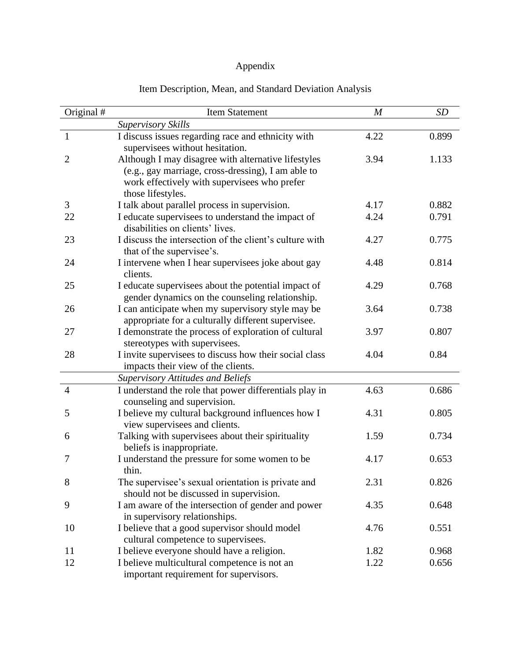# Appendix

| Original #     | <b>Item Statement</b>                                                                                                   | $\boldsymbol{M}$ | <b>SD</b> |
|----------------|-------------------------------------------------------------------------------------------------------------------------|------------------|-----------|
|                | <b>Supervisory Skills</b>                                                                                               |                  |           |
| $\mathbf{1}$   | I discuss issues regarding race and ethnicity with<br>supervisees without hesitation.                                   | 4.22             | 0.899     |
| $\overline{2}$ | Although I may disagree with alternative lifestyles                                                                     | 3.94             | 1.133     |
|                | (e.g., gay marriage, cross-dressing), I am able to<br>work effectively with supervisees who prefer<br>those lifestyles. |                  |           |
| 3              | I talk about parallel process in supervision.                                                                           | 4.17             | 0.882     |
| 22             | I educate supervisees to understand the impact of<br>disabilities on clients' lives.                                    | 4.24             | 0.791     |
| 23             | I discuss the intersection of the client's culture with<br>that of the supervisee's.                                    | 4.27             | 0.775     |
| 24             | I intervene when I hear supervisees joke about gay<br>clients.                                                          | 4.48             | 0.814     |
| 25             | I educate supervisees about the potential impact of<br>gender dynamics on the counseling relationship.                  | 4.29             | 0.768     |
| 26             | I can anticipate when my supervisory style may be<br>appropriate for a culturally different supervisee.                 | 3.64             | 0.738     |
| 27             | I demonstrate the process of exploration of cultural<br>stereotypes with supervisees.                                   | 3.97             | 0.807     |
| 28             | I invite supervisees to discuss how their social class<br>impacts their view of the clients.                            | 4.04             | 0.84      |
|                | <b>Supervisory Attitudes and Beliefs</b>                                                                                |                  |           |
| $\overline{4}$ | I understand the role that power differentials play in<br>counseling and supervision.                                   | 4.63             | 0.686     |
| 5              | I believe my cultural background influences how I<br>view supervisees and clients.                                      | 4.31             | 0.805     |
| 6              | Talking with supervisees about their spirituality<br>beliefs is inappropriate.                                          | 1.59             | 0.734     |
| 7              | I understand the pressure for some women to be<br>thin.                                                                 | 4.17             | 0.653     |
| 8              | The supervisee's sexual orientation is private and<br>should not be discussed in supervision.                           | 2.31             | 0.826     |
| 9              | I am aware of the intersection of gender and power<br>in supervisory relationships.                                     | 4.35             | 0.648     |
| 10             | I believe that a good supervisor should model<br>cultural competence to supervisees.                                    | 4.76             | 0.551     |
| 11             | I believe everyone should have a religion.                                                                              | 1.82             | 0.968     |
| 12             | I believe multicultural competence is not an<br>important requirement for supervisors.                                  | 1.22             | 0.656     |

# Item Description, Mean, and Standard Deviation Analysis